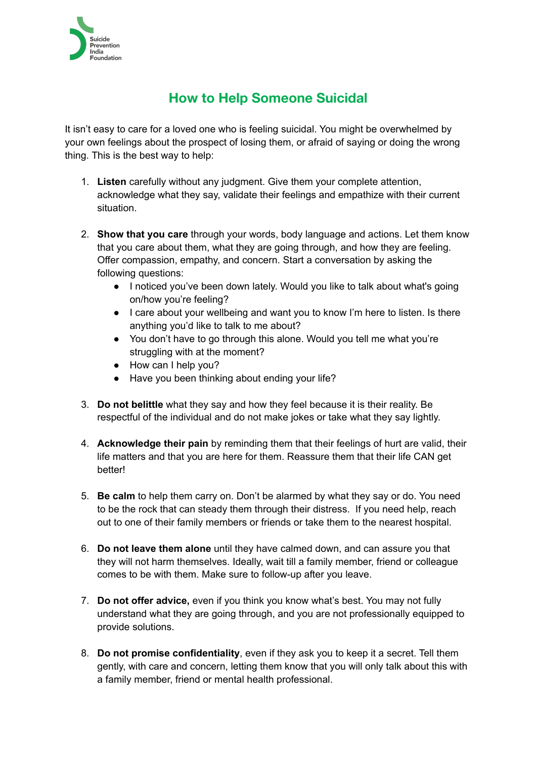

## **How to Help Someone Suicidal**

It isn't easy to care for a loved one who is feeling suicidal. You might be overwhelmed by your own feelings about the prospect of losing them, or afraid of saying or doing the wrong thing. This is the best way to help:

- 1. **Listen** carefully without any judgment. Give them your complete attention, acknowledge what they say, validate their feelings and empathize with their current situation.
- 2. **Show that you care** through your words, body language and actions. Let them know that you care about them, what they are going through, and how they are feeling. Offer compassion, empathy, and concern. Start a conversation by asking the following questions:
	- I noticed you've been down lately. Would you like to talk about what's going on/how you're feeling?
	- I care about your wellbeing and want you to know I'm here to listen. Is there anything you'd like to talk to me about?
	- You don't have to go through this alone. Would you tell me what you're struggling with at the moment?
	- How can I help you?
	- Have you been thinking about ending your life?
- 3. **Do not belittle** what they say and how they feel because it is their reality. Be respectful of the individual and do not make jokes or take what they say lightly.
- 4. **Acknowledge their pain** by reminding them that their feelings of hurt are valid, their life matters and that you are here for them. Reassure them that their life CAN get better!
- 5. **Be calm** to help them carry on. Don't be alarmed by what they say or do. You need to be the rock that can steady them through their distress. If you need help, reach out to one of their family members or friends or take them to the nearest hospital.
- 6. **Do not leave them alone** until they have calmed down, and can assure you that they will not harm themselves. Ideally, wait till a family member, friend or colleague comes to be with them. Make sure to follow-up after you leave.
- 7. **Do not offer advice,** even if you think you know what's best. You may not fully understand what they are going through, and you are not professionally equipped to provide solutions.
- 8. **Do not promise confidentiality**, even if they ask you to keep it a secret. Tell them gently, with care and concern, letting them know that you will only talk about this with a family member, friend or mental health professional.